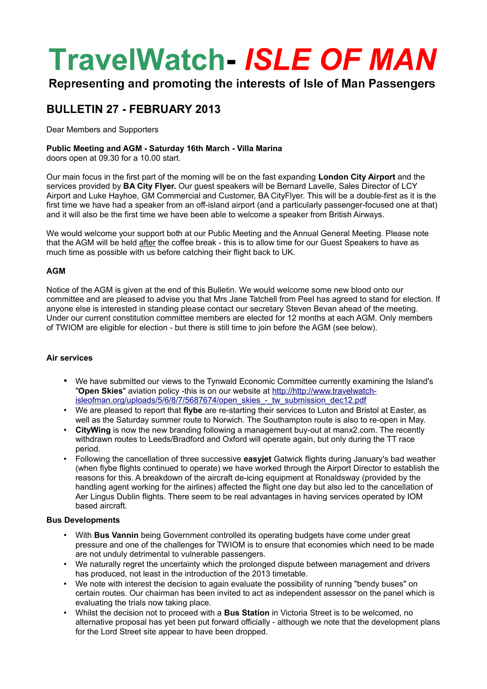# **TravelWatch- ISLE OF MAN**

Representing and promoting the interests of Isle of Man Passengers

### **BULLETIN 27 - FEBRUARY 2013**

Dear Members and Supporters

#### **Public Meeting and AGM - Saturday 16th March - Villa Marina**

doors open at 09.30 for a 10.00 start.

Our main focus in the first part of the morning will be on the fast expanding **London City Airport** and the services provided by **BA City Flyer.** Our guest speakers will be Bernard Lavelle, Sales Director of LCY Airport and Luke Hayhoe, GM Commercial and Customer, BA CityFlyer. This will be a double-first as it is the first time we have had a speaker from an off-island airport (and a particularly passenger-focused one at that) and it will also be the first time we have been able to welcome a speaker from British Airways.

We would welcome your support both at our Public Meeting and the Annual General Meeting. Please note that the AGM will be held after the coffee break - this is to allow time for our Guest Speakers to have as much time as possible with us before catching their flight back to UK.

#### **AGM**

Notice of the AGM is given at the end of this Bulletin. We would welcome some new blood onto our committee and are pleased to advise you that Mrs Jane Tatchell from Peel has agreed to stand for election. If anyone else is interested in standing please contact our secretary Steven Bevan ahead of the meeting. Under our current constitution committee members are elected for 12 months at each AGM. Only members of TWIOM are eligible for election - but there is still time to join before the AGM (see below).

#### **Air services**

- We have submitted our views to the Tynwald Economic Committee currently examining the Island's "**Open Skies**" aviation policy -this is on our website at [http://http://www.travelwatch](http://http://www.travelwatch-isleofman.org/uploads/5/6/8/7/5687674/open_skies_-_tw_submission_dec12.pdf)[isleofman.org/uploads/5/6/8/7/5687674/open\\_skies\\_-\\_tw\\_submission\\_dec12.pdf](http://http://www.travelwatch-isleofman.org/uploads/5/6/8/7/5687674/open_skies_-_tw_submission_dec12.pdf)
- We are pleased to report that **flybe** are re-starting their services to Luton and Bristol at Easter, as well as the Saturday summer route to Norwich. The Southampton route is also to re-open in May.
- **CityWing** is now the new branding following a management buy-out at manx2.com. The recently withdrawn routes to Leeds/Bradford and Oxford will operate again, but only during the TT race period.
- Following the cancellation of three successive **easyjet** Gatwick flights during January's bad weather (when flybe flights continued to operate) we have worked through the Airport Director to establish the reasons for this. A breakdown of the aircraft de-icing equipment at Ronaldsway (provided by the handling agent working for the airlines) affected the flight one day but also led to the cancellation of Aer Lingus Dublin flights. There seem to be real advantages in having services operated by IOM based aircraft.

#### **Bus Developments**

- With **Bus Vannin** being Government controlled its operating budgets have come under great pressure and one of the challenges for TWIOM is to ensure that economies which need to be made are not unduly detrimental to vulnerable passengers.
- We naturally regret the uncertainty which the prolonged dispute between management and drivers has produced, not least in the introduction of the 2013 timetable.
- We note with interest the decision to again evaluate the possibility of running "bendy buses" on certain routes. Our chairman has been invited to act as independent assessor on the panel which is evaluating the trials now taking place.
- Whilst the decision not to proceed with a **Bus Station** in Victoria Street is to be welcomed, no alternative proposal has yet been put forward officially - although we note that the development plans for the Lord Street site appear to have been dropped.